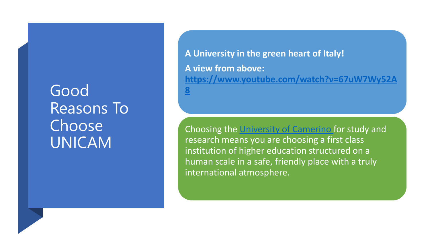#### Good Reasons To Choose UNICAM

**A University in the green heart of Italy! A view from above: [https://www.youtube.com/watch?v=67uW7Wy52A](https://www.youtube.com/watch?v=67uW7Wy52A8) 8**

Choosing the [University of Camerino](https://www.youtube.com/watch?v=67uW7Wy52A8) for study and research means you are choosing a first class institution of higher education structured on a human scale in a safe, friendly place with a truly international atmosphere.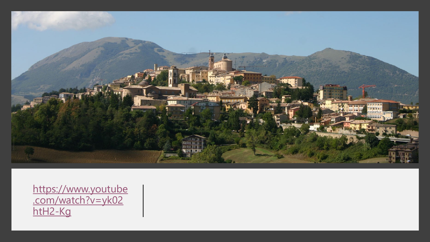

https://www.youtube [.com/watch?v=yk02](https://www.youtube.com/watch?v=yk02htH2-Kg) htH2-Kg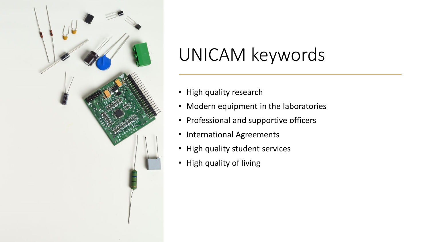

### UNICAM keywords

- High quality research
- Modern equipment in the laboratories
- Professional and supportive officers
- International Agreements
- High quality student services
- High quality of living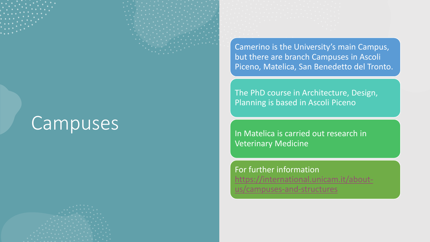

### Campuses



Camerino is the University's main Campus, but there are branch Campuses in Ascoli Piceno, Matelica, San Benedetto del Tronto.

The PhD course in Architecture, Design, Planning is based in Ascoli Piceno

In Matelica is carried out research in Veterinary Medicine

For further information [https://international.unicam.it/about](https://international.unicam.it/about-us/campuses-and-structures)us/campuses-and-structures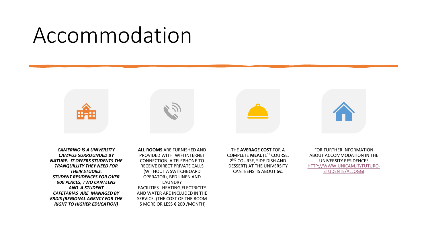## Accommodation



*CAMERINO IS A UNIVERSITY CAMPUS SURROUNDED BY NATURE. IT OFFERS STUDENTS THE TRANQUILLITY THEY NEED FOR THEIR STUDIES. STUDENT RESIDENCES FOR OVER 900 PLACES, TWO CANTEENS AND A STUDENT CAFETARIAS ARE MANAGED BY ERDIS (REGIONAL AGENCY FOR THE RIGHT TO HIGHER EDUCATION)*

**ALL ROOMS** ARE FURNISHED AND PROVIDED WITH WIFI INTERNET CONNECTION, A TELEPHONE TO RECEIVE DIRECT PRIVATE CALLS (WITHOUT A SWITCHBOARD OPERATOR), BED LINEN AND LAUNDRY FACILITIES. HEATING,ELECTRICITY AND WATER ARE INCLUDED IN THE SERVICE. (THE COST OF THE ROOM IS MORE OR LESS € 200 /MONTH)

THE **AVERAGE COST** FOR A COMPLETE **MEAL** (1ST COURSE, 2 ND COURSE, SIDE DISH AND DESSERT) AT THE UNIVERSITY CANTEENS IS ABOUT **5€**.

FOR FURTHER INFORMATION ABOUT ACCOMMODATION IN THE UNIVERSITY RESIDENCES [HTTP://WWW.UNICAM.IT/FUTURO-](http://www.unicam.it/futuro-studente/alloggi)STUDENTE/ALLOGGI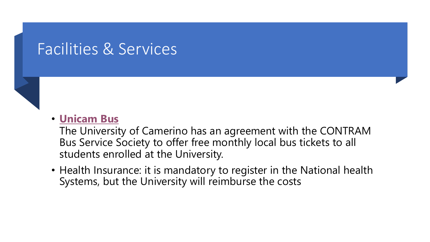#### Facilities & Services



The University of Camerino has an agreement with the CONTRAM Bus Service Society to offer free monthly local bus tickets to all students enrolled at the University.

• Health Insurance: it is mandatory to register in the National health Systems, but the University will reimburse the costs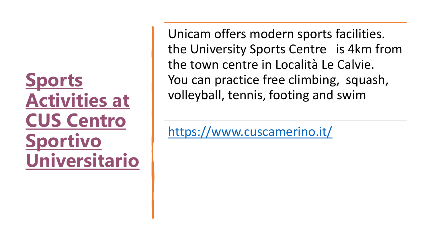**Sports Activities at CUS Centro Sportivo [Universitario](http://www.cuscamerino.it/)** Unicam offers modern sports facilities. the University Sports Centre is 4km from the town centre in Località Le Calvie. You can practice free climbing, squash, volleyball, tennis, footing and swim

<https://www.cuscamerino.it/>